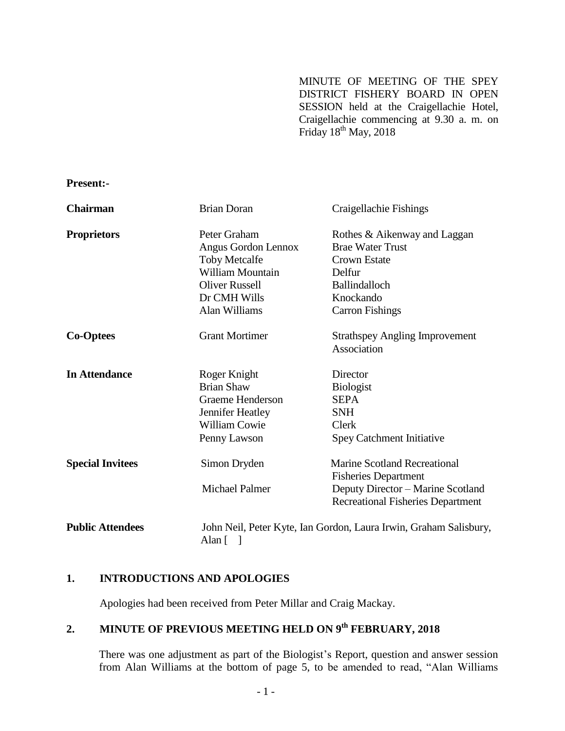MINUTE OF MEETING OF THE SPEY DISTRICT FISHERY BOARD IN OPEN SESSION held at the Craigellachie Hotel, Craigellachie commencing at 9.30 a. m. on Friday  $18^{th}$  May, 2018

**Present:-**

| <b>Chairman</b>         | <b>Brian Doran</b>                                                | Craigellachie Fishings                   |
|-------------------------|-------------------------------------------------------------------|------------------------------------------|
| <b>Proprietors</b>      | Peter Graham                                                      | Rothes & Aikenway and Laggan             |
|                         | Angus Gordon Lennox                                               | <b>Brae Water Trust</b>                  |
|                         | <b>Toby Metcalfe</b>                                              | <b>Crown Estate</b>                      |
|                         | William Mountain                                                  | Delfur                                   |
|                         | <b>Oliver Russell</b>                                             | Ballindalloch                            |
|                         | Dr CMH Wills                                                      | Knockando                                |
|                         | Alan Williams                                                     | <b>Carron Fishings</b>                   |
| <b>Co-Optees</b>        | <b>Grant Mortimer</b>                                             | <b>Strathspey Angling Improvement</b>    |
|                         |                                                                   | Association                              |
| <b>In Attendance</b>    | Roger Knight                                                      | Director                                 |
|                         | <b>Brian Shaw</b>                                                 | <b>Biologist</b>                         |
|                         | Graeme Henderson                                                  | <b>SEPA</b>                              |
|                         | Jennifer Heatley                                                  | <b>SNH</b>                               |
|                         | <b>William Cowie</b>                                              | Clerk                                    |
|                         | Penny Lawson                                                      | <b>Spey Catchment Initiative</b>         |
| <b>Special Invitees</b> | Simon Dryden                                                      | <b>Marine Scotland Recreational</b>      |
|                         |                                                                   | <b>Fisheries Department</b>              |
|                         | <b>Michael Palmer</b>                                             | Deputy Director – Marine Scotland        |
|                         |                                                                   | <b>Recreational Fisheries Department</b> |
| <b>Public Attendees</b> | John Neil, Peter Kyte, Ian Gordon, Laura Irwin, Graham Salisbury, |                                          |
|                         | Alan [                                                            |                                          |

### **1. INTRODUCTIONS AND APOLOGIES**

Apologies had been received from Peter Millar and Craig Mackay.

# **2. MINUTE OF PREVIOUS MEETING HELD ON 9 th FEBRUARY, 2018**

There was one adjustment as part of the Biologist's Report, question and answer session from Alan Williams at the bottom of page 5, to be amended to read, "Alan Williams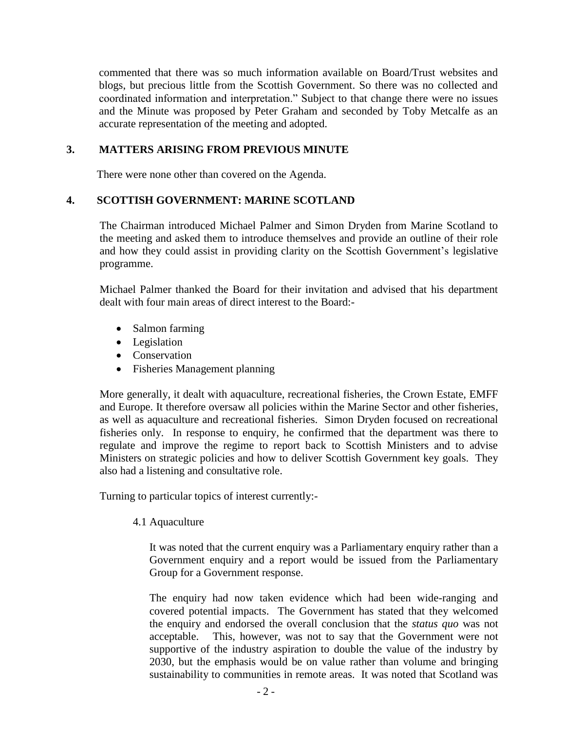commented that there was so much information available on Board/Trust websites and blogs, but precious little from the Scottish Government. So there was no collected and coordinated information and interpretation." Subject to that change there were no issues and the Minute was proposed by Peter Graham and seconded by Toby Metcalfe as an accurate representation of the meeting and adopted.

### **3. MATTERS ARISING FROM PREVIOUS MINUTE**

There were none other than covered on the Agenda.

#### **4. SCOTTISH GOVERNMENT: MARINE SCOTLAND**

The Chairman introduced Michael Palmer and Simon Dryden from Marine Scotland to the meeting and asked them to introduce themselves and provide an outline of their role and how they could assist in providing clarity on the Scottish Government's legislative programme.

Michael Palmer thanked the Board for their invitation and advised that his department dealt with four main areas of direct interest to the Board:-

- Salmon farming
- Legislation
- Conservation
- Fisheries Management planning

More generally, it dealt with aquaculture, recreational fisheries, the Crown Estate, EMFF and Europe. It therefore oversaw all policies within the Marine Sector and other fisheries, as well as aquaculture and recreational fisheries. Simon Dryden focused on recreational fisheries only. In response to enquiry, he confirmed that the department was there to regulate and improve the regime to report back to Scottish Ministers and to advise Ministers on strategic policies and how to deliver Scottish Government key goals. They also had a listening and consultative role.

Turning to particular topics of interest currently:-

4.1 Aquaculture

It was noted that the current enquiry was a Parliamentary enquiry rather than a Government enquiry and a report would be issued from the Parliamentary Group for a Government response.

The enquiry had now taken evidence which had been wide-ranging and covered potential impacts. The Government has stated that they welcomed the enquiry and endorsed the overall conclusion that the *status quo* was not acceptable. This, however, was not to say that the Government were not supportive of the industry aspiration to double the value of the industry by 2030, but the emphasis would be on value rather than volume and bringing sustainability to communities in remote areas. It was noted that Scotland was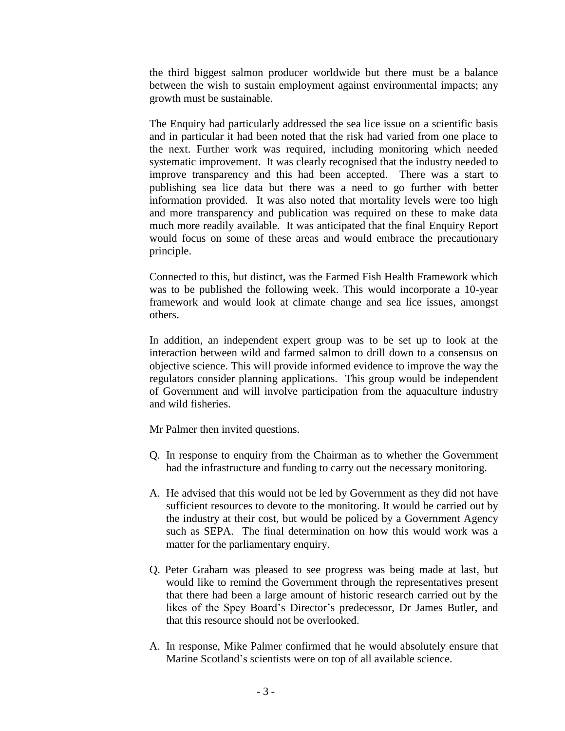the third biggest salmon producer worldwide but there must be a balance between the wish to sustain employment against environmental impacts; any growth must be sustainable.

The Enquiry had particularly addressed the sea lice issue on a scientific basis and in particular it had been noted that the risk had varied from one place to the next. Further work was required, including monitoring which needed systematic improvement. It was clearly recognised that the industry needed to improve transparency and this had been accepted. There was a start to publishing sea lice data but there was a need to go further with better information provided. It was also noted that mortality levels were too high and more transparency and publication was required on these to make data much more readily available. It was anticipated that the final Enquiry Report would focus on some of these areas and would embrace the precautionary principle.

Connected to this, but distinct, was the Farmed Fish Health Framework which was to be published the following week. This would incorporate a 10-year framework and would look at climate change and sea lice issues, amongst others.

In addition, an independent expert group was to be set up to look at the interaction between wild and farmed salmon to drill down to a consensus on objective science. This will provide informed evidence to improve the way the regulators consider planning applications. This group would be independent of Government and will involve participation from the aquaculture industry and wild fisheries.

Mr Palmer then invited questions.

- Q. In response to enquiry from the Chairman as to whether the Government had the infrastructure and funding to carry out the necessary monitoring.
- A. He advised that this would not be led by Government as they did not have sufficient resources to devote to the monitoring. It would be carried out by the industry at their cost, but would be policed by a Government Agency such as SEPA. The final determination on how this would work was a matter for the parliamentary enquiry.
- Q. Peter Graham was pleased to see progress was being made at last, but would like to remind the Government through the representatives present that there had been a large amount of historic research carried out by the likes of the Spey Board's Director's predecessor, Dr James Butler, and that this resource should not be overlooked.
- A. In response, Mike Palmer confirmed that he would absolutely ensure that Marine Scotland's scientists were on top of all available science.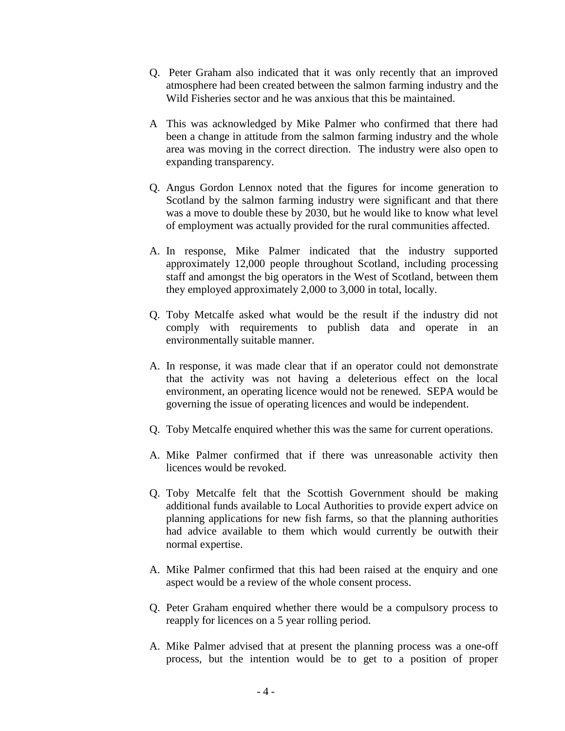- Q. Peter Graham also indicated that it was only recently that an improved atmosphere had been created between the salmon farming industry and the Wild Fisheries sector and he was anxious that this be maintained.
- A This was acknowledged by Mike Palmer who confirmed that there had been a change in attitude from the salmon farming industry and the whole area was moving in the correct direction. The industry were also open to expanding transparency.
- Q. Angus Gordon Lennox noted that the figures for income generation to Scotland by the salmon farming industry were significant and that there was a move to double these by 2030, but he would like to know what level of employment was actually provided for the rural communities affected.
- A. In response, Mike Palmer indicated that the industry supported approximately 12,000 people throughout Scotland, including processing staff and amongst the big operators in the West of Scotland, between them they employed approximately 2,000 to 3,000 in total, locally.
- Q. Toby Metcalfe asked what would be the result if the industry did not comply with requirements to publish data and operate in an environmentally suitable manner.
- A. In response, it was made clear that if an operator could not demonstrate that the activity was not having a deleterious effect on the local environment, an operating licence would not be renewed. SEPA would be governing the issue of operating licences and would be independent.
- Q. Toby Metcalfe enquired whether this was the same for current operations.
- A. Mike Palmer confirmed that if there was unreasonable activity then licences would be revoked.
- Q. Toby Metcalfe felt that the Scottish Government should be making additional funds available to Local Authorities to provide expert advice on planning applications for new fish farms, so that the planning authorities had advice available to them which would currently be outwith their normal expertise.
- A. Mike Palmer confirmed that this had been raised at the enquiry and one aspect would be a review of the whole consent process.
- Q. Peter Graham enquired whether there would be a compulsory process to reapply for licences on a 5 year rolling period.
- A. Mike Palmer advised that at present the planning process was a one-off process, but the intention would be to get to a position of proper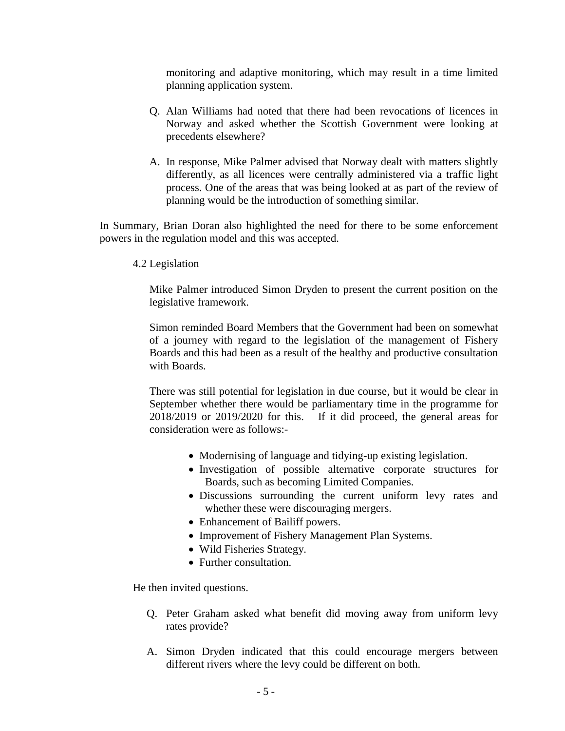monitoring and adaptive monitoring, which may result in a time limited planning application system.

- Q. Alan Williams had noted that there had been revocations of licences in Norway and asked whether the Scottish Government were looking at precedents elsewhere?
- A. In response, Mike Palmer advised that Norway dealt with matters slightly differently, as all licences were centrally administered via a traffic light process. One of the areas that was being looked at as part of the review of planning would be the introduction of something similar.

In Summary, Brian Doran also highlighted the need for there to be some enforcement powers in the regulation model and this was accepted.

4.2 Legislation

Mike Palmer introduced Simon Dryden to present the current position on the legislative framework.

Simon reminded Board Members that the Government had been on somewhat of a journey with regard to the legislation of the management of Fishery Boards and this had been as a result of the healthy and productive consultation with Boards.

There was still potential for legislation in due course, but it would be clear in September whether there would be parliamentary time in the programme for 2018/2019 or 2019/2020 for this. If it did proceed, the general areas for consideration were as follows:-

- Modernising of language and tidying-up existing legislation.
- Investigation of possible alternative corporate structures for Boards, such as becoming Limited Companies.
- Discussions surrounding the current uniform levy rates and whether these were discouraging mergers.
- Enhancement of Bailiff powers.
- Improvement of Fishery Management Plan Systems.
- Wild Fisheries Strategy.
- Further consultation.

He then invited questions.

- Q. Peter Graham asked what benefit did moving away from uniform levy rates provide?
- A. Simon Dryden indicated that this could encourage mergers between different rivers where the levy could be different on both.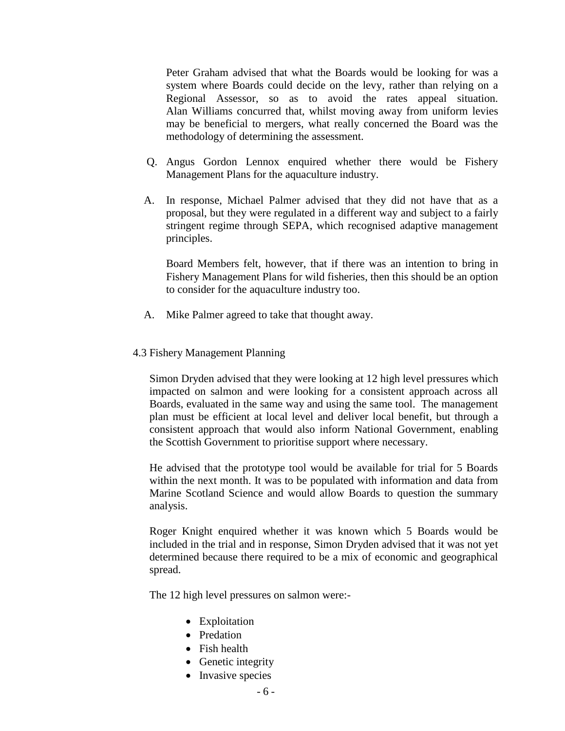Peter Graham advised that what the Boards would be looking for was a system where Boards could decide on the levy, rather than relying on a Regional Assessor, so as to avoid the rates appeal situation. Alan Williams concurred that, whilst moving away from uniform levies may be beneficial to mergers, what really concerned the Board was the methodology of determining the assessment.

- Q. Angus Gordon Lennox enquired whether there would be Fishery Management Plans for the aquaculture industry.
- A. In response, Michael Palmer advised that they did not have that as a proposal, but they were regulated in a different way and subject to a fairly stringent regime through SEPA, which recognised adaptive management principles.

 Board Members felt, however, that if there was an intention to bring in Fishery Management Plans for wild fisheries, then this should be an option to consider for the aquaculture industry too.

- A. Mike Palmer agreed to take that thought away.
- 4.3 Fishery Management Planning

Simon Dryden advised that they were looking at 12 high level pressures which impacted on salmon and were looking for a consistent approach across all Boards, evaluated in the same way and using the same tool. The management plan must be efficient at local level and deliver local benefit, but through a consistent approach that would also inform National Government, enabling the Scottish Government to prioritise support where necessary.

He advised that the prototype tool would be available for trial for 5 Boards within the next month. It was to be populated with information and data from Marine Scotland Science and would allow Boards to question the summary analysis.

Roger Knight enquired whether it was known which 5 Boards would be included in the trial and in response, Simon Dryden advised that it was not yet determined because there required to be a mix of economic and geographical spread.

The 12 high level pressures on salmon were:-

- Exploitation
- Predation
- Fish health
- Genetic integrity
- Invasive species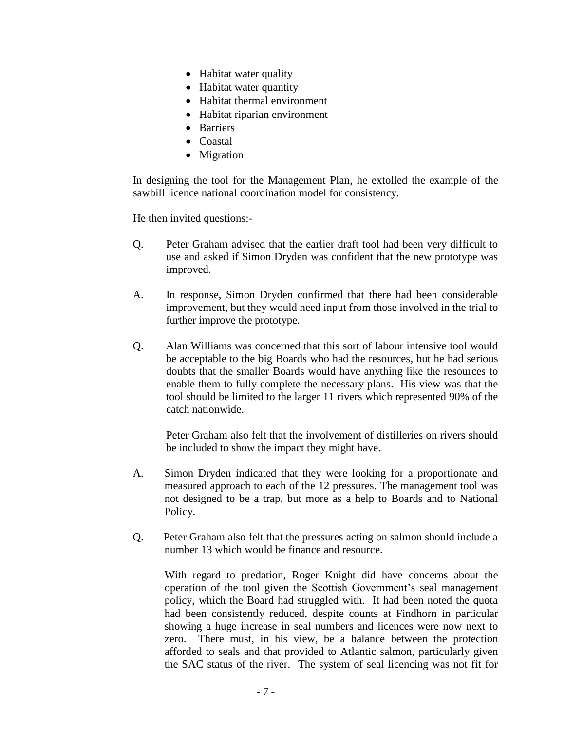- Habitat water quality
- Habitat water quantity
- Habitat thermal environment
- Habitat riparian environment
- Barriers
- Coastal
- Migration

In designing the tool for the Management Plan, he extolled the example of the sawbill licence national coordination model for consistency.

He then invited questions:-

- Q. Peter Graham advised that the earlier draft tool had been very difficult to use and asked if Simon Dryden was confident that the new prototype was improved.
- A. In response, Simon Dryden confirmed that there had been considerable improvement, but they would need input from those involved in the trial to further improve the prototype.
- Q. Alan Williams was concerned that this sort of labour intensive tool would be acceptable to the big Boards who had the resources, but he had serious doubts that the smaller Boards would have anything like the resources to enable them to fully complete the necessary plans. His view was that the tool should be limited to the larger 11 rivers which represented 90% of the catch nationwide.

Peter Graham also felt that the involvement of distilleries on rivers should be included to show the impact they might have.

- A. Simon Dryden indicated that they were looking for a proportionate and measured approach to each of the 12 pressures. The management tool was not designed to be a trap, but more as a help to Boards and to National Policy.
- Q. Peter Graham also felt that the pressures acting on salmon should include a number 13 which would be finance and resource.

With regard to predation, Roger Knight did have concerns about the operation of the tool given the Scottish Government's seal management policy, which the Board had struggled with. It had been noted the quota had been consistently reduced, despite counts at Findhorn in particular showing a huge increase in seal numbers and licences were now next to zero. There must, in his view, be a balance between the protection afforded to seals and that provided to Atlantic salmon, particularly given the SAC status of the river. The system of seal licencing was not fit for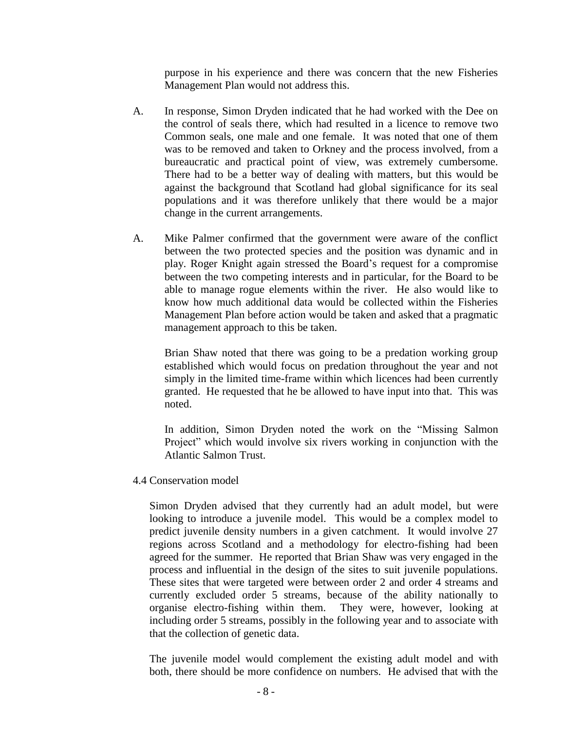purpose in his experience and there was concern that the new Fisheries Management Plan would not address this.

- A. In response, Simon Dryden indicated that he had worked with the Dee on the control of seals there, which had resulted in a licence to remove two Common seals, one male and one female. It was noted that one of them was to be removed and taken to Orkney and the process involved, from a bureaucratic and practical point of view, was extremely cumbersome. There had to be a better way of dealing with matters, but this would be against the background that Scotland had global significance for its seal populations and it was therefore unlikely that there would be a major change in the current arrangements.
- A. Mike Palmer confirmed that the government were aware of the conflict between the two protected species and the position was dynamic and in play. Roger Knight again stressed the Board's request for a compromise between the two competing interests and in particular, for the Board to be able to manage rogue elements within the river. He also would like to know how much additional data would be collected within the Fisheries Management Plan before action would be taken and asked that a pragmatic management approach to this be taken.

Brian Shaw noted that there was going to be a predation working group established which would focus on predation throughout the year and not simply in the limited time-frame within which licences had been currently granted. He requested that he be allowed to have input into that. This was noted.

In addition, Simon Dryden noted the work on the "Missing Salmon Project" which would involve six rivers working in conjunction with the Atlantic Salmon Trust.

4.4 Conservation model

Simon Dryden advised that they currently had an adult model, but were looking to introduce a juvenile model. This would be a complex model to predict juvenile density numbers in a given catchment. It would involve 27 regions across Scotland and a methodology for electro-fishing had been agreed for the summer. He reported that Brian Shaw was very engaged in the process and influential in the design of the sites to suit juvenile populations. These sites that were targeted were between order 2 and order 4 streams and currently excluded order 5 streams, because of the ability nationally to organise electro-fishing within them. They were, however, looking at including order 5 streams, possibly in the following year and to associate with that the collection of genetic data.

The juvenile model would complement the existing adult model and with both, there should be more confidence on numbers. He advised that with the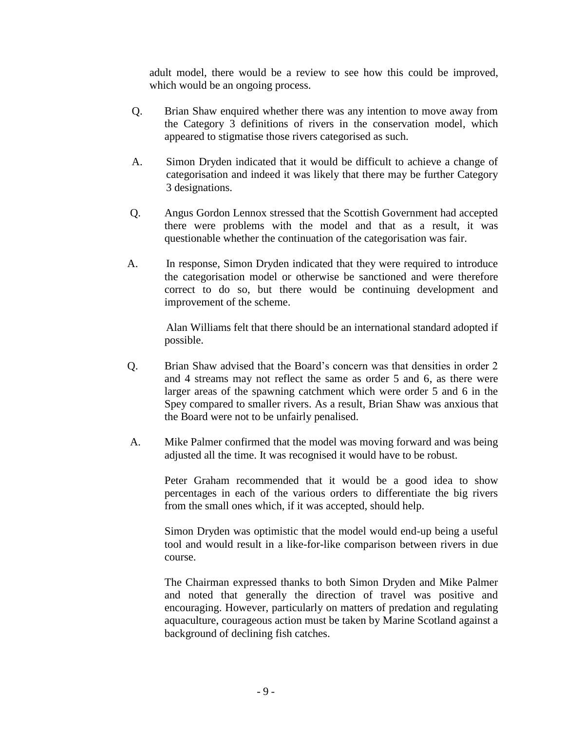adult model, there would be a review to see how this could be improved, which would be an ongoing process.

- Q. Brian Shaw enquired whether there was any intention to move away from the Category 3 definitions of rivers in the conservation model, which appeared to stigmatise those rivers categorised as such.
- A. Simon Dryden indicated that it would be difficult to achieve a change of categorisation and indeed it was likely that there may be further Category 3 designations.
- Q. Angus Gordon Lennox stressed that the Scottish Government had accepted there were problems with the model and that as a result, it was questionable whether the continuation of the categorisation was fair.
- A. In response, Simon Dryden indicated that they were required to introduce the categorisation model or otherwise be sanctioned and were therefore correct to do so, but there would be continuing development and improvement of the scheme.

Alan Williams felt that there should be an international standard adopted if possible.

- Q. Brian Shaw advised that the Board's concern was that densities in order 2 and 4 streams may not reflect the same as order 5 and 6, as there were larger areas of the spawning catchment which were order 5 and 6 in the Spey compared to smaller rivers. As a result, Brian Shaw was anxious that the Board were not to be unfairly penalised.
- A. Mike Palmer confirmed that the model was moving forward and was being adjusted all the time. It was recognised it would have to be robust.

Peter Graham recommended that it would be a good idea to show percentages in each of the various orders to differentiate the big rivers from the small ones which, if it was accepted, should help.

Simon Dryden was optimistic that the model would end-up being a useful tool and would result in a like-for-like comparison between rivers in due course.

The Chairman expressed thanks to both Simon Dryden and Mike Palmer and noted that generally the direction of travel was positive and encouraging. However, particularly on matters of predation and regulating aquaculture, courageous action must be taken by Marine Scotland against a background of declining fish catches.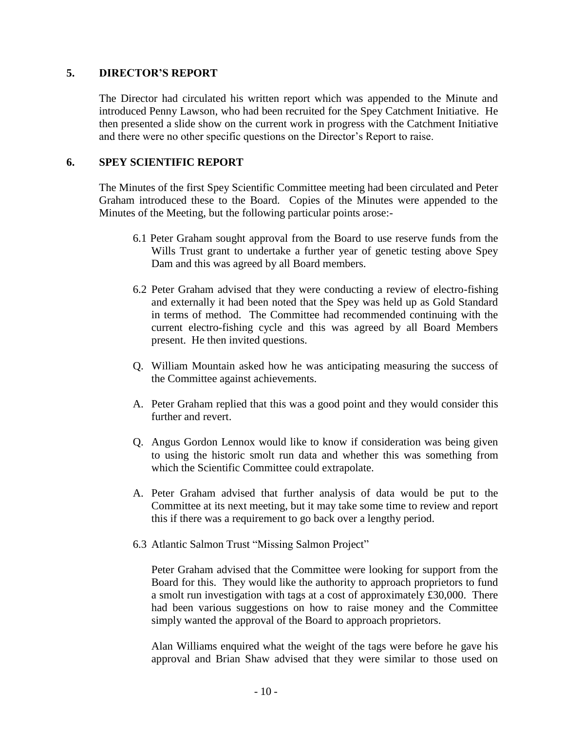#### **5. DIRECTOR'S REPORT**

The Director had circulated his written report which was appended to the Minute and introduced Penny Lawson, who had been recruited for the Spey Catchment Initiative. He then presented a slide show on the current work in progress with the Catchment Initiative and there were no other specific questions on the Director's Report to raise.

### **6. SPEY SCIENTIFIC REPORT**

The Minutes of the first Spey Scientific Committee meeting had been circulated and Peter Graham introduced these to the Board. Copies of the Minutes were appended to the Minutes of the Meeting, but the following particular points arose:-

- 6.1 Peter Graham sought approval from the Board to use reserve funds from the Wills Trust grant to undertake a further year of genetic testing above Spey Dam and this was agreed by all Board members.
- 6.2 Peter Graham advised that they were conducting a review of electro-fishing and externally it had been noted that the Spey was held up as Gold Standard in terms of method. The Committee had recommended continuing with the current electro-fishing cycle and this was agreed by all Board Members present. He then invited questions.
- Q. William Mountain asked how he was anticipating measuring the success of the Committee against achievements.
- A. Peter Graham replied that this was a good point and they would consider this further and revert.
- Q. Angus Gordon Lennox would like to know if consideration was being given to using the historic smolt run data and whether this was something from which the Scientific Committee could extrapolate.
- A. Peter Graham advised that further analysis of data would be put to the Committee at its next meeting, but it may take some time to review and report this if there was a requirement to go back over a lengthy period.
- 6.3 Atlantic Salmon Trust "Missing Salmon Project"

Peter Graham advised that the Committee were looking for support from the Board for this. They would like the authority to approach proprietors to fund a smolt run investigation with tags at a cost of approximately £30,000. There had been various suggestions on how to raise money and the Committee simply wanted the approval of the Board to approach proprietors.

Alan Williams enquired what the weight of the tags were before he gave his approval and Brian Shaw advised that they were similar to those used on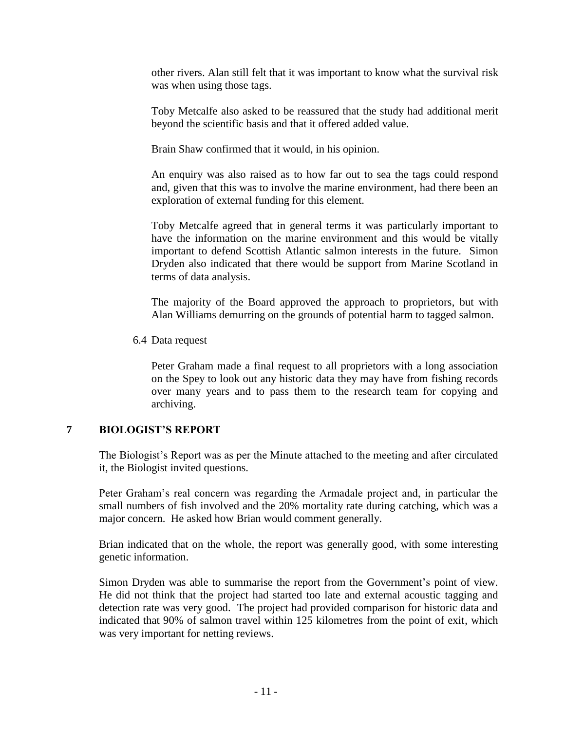other rivers. Alan still felt that it was important to know what the survival risk was when using those tags.

Toby Metcalfe also asked to be reassured that the study had additional merit beyond the scientific basis and that it offered added value.

Brain Shaw confirmed that it would, in his opinion.

An enquiry was also raised as to how far out to sea the tags could respond and, given that this was to involve the marine environment, had there been an exploration of external funding for this element.

Toby Metcalfe agreed that in general terms it was particularly important to have the information on the marine environment and this would be vitally important to defend Scottish Atlantic salmon interests in the future. Simon Dryden also indicated that there would be support from Marine Scotland in terms of data analysis.

The majority of the Board approved the approach to proprietors, but with Alan Williams demurring on the grounds of potential harm to tagged salmon.

6.4 Data request

Peter Graham made a final request to all proprietors with a long association on the Spey to look out any historic data they may have from fishing records over many years and to pass them to the research team for copying and archiving.

### **7 BIOLOGIST'S REPORT**

The Biologist's Report was as per the Minute attached to the meeting and after circulated it, the Biologist invited questions.

Peter Graham's real concern was regarding the Armadale project and, in particular the small numbers of fish involved and the 20% mortality rate during catching, which was a major concern. He asked how Brian would comment generally.

Brian indicated that on the whole, the report was generally good, with some interesting genetic information.

Simon Dryden was able to summarise the report from the Government's point of view. He did not think that the project had started too late and external acoustic tagging and detection rate was very good. The project had provided comparison for historic data and indicated that 90% of salmon travel within 125 kilometres from the point of exit, which was very important for netting reviews.